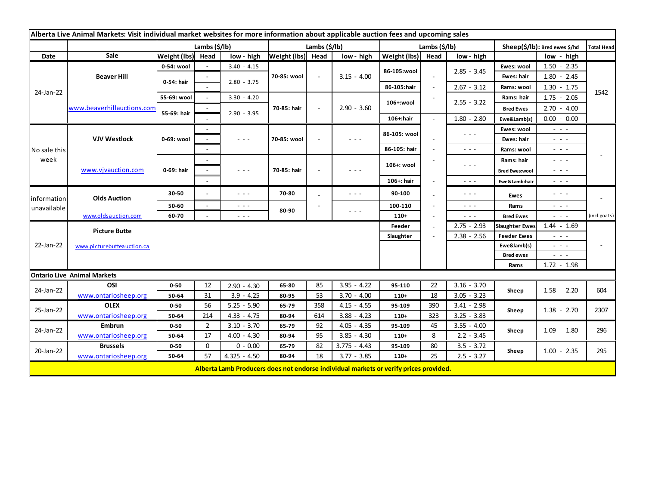| Alberta Live Animal Markets: Visit individual market websites for more information about applicable auction fees and upcoming sales |                                         |                           |                |                                                                                                                           |                       |              |                                                                                                                        |                   |                                            |                                                                                                                                                                                                                                                                                                                                                                                                                                                |                       |                                                                                                                           |                   |
|-------------------------------------------------------------------------------------------------------------------------------------|-----------------------------------------|---------------------------|----------------|---------------------------------------------------------------------------------------------------------------------------|-----------------------|--------------|------------------------------------------------------------------------------------------------------------------------|-------------------|--------------------------------------------|------------------------------------------------------------------------------------------------------------------------------------------------------------------------------------------------------------------------------------------------------------------------------------------------------------------------------------------------------------------------------------------------------------------------------------------------|-----------------------|---------------------------------------------------------------------------------------------------------------------------|-------------------|
|                                                                                                                                     |                                         | Lambs $(\frac{2}{3})$ lb) |                |                                                                                                                           | Lambs $(\frac{2}{3})$ |              |                                                                                                                        | Lambs (\$/lb)     |                                            |                                                                                                                                                                                                                                                                                                                                                                                                                                                |                       | Sheep(\$/lb): Bred ewes \$/hd                                                                                             | <b>Total Head</b> |
| Date                                                                                                                                | Sale                                    | Weight (lbs) Head         |                | low - high                                                                                                                | Weight (lbs) Head     |              | low - high                                                                                                             | Weight (lbs) Head |                                            | low - high                                                                                                                                                                                                                                                                                                                                                                                                                                     |                       | low - high                                                                                                                |                   |
| 24-Jan-22                                                                                                                           | <b>Beaver Hill</b>                      | 0-54: wool                |                | $3.40 - 4.15$                                                                                                             | 70-85: wool           | $\mathbf{r}$ | $3.15 - 4.00$                                                                                                          | 86-105:wool       | $\blacksquare$<br>$\overline{\phantom{a}}$ | $2.85 - 3.45$                                                                                                                                                                                                                                                                                                                                                                                                                                  | Ewes: wool            | $1.50 - 2.35$                                                                                                             | 1542              |
|                                                                                                                                     |                                         | 0-54: hair                |                |                                                                                                                           |                       |              |                                                                                                                        |                   |                                            |                                                                                                                                                                                                                                                                                                                                                                                                                                                | Ewes: hair            | $1.80 - 2.45$                                                                                                             |                   |
|                                                                                                                                     |                                         |                           |                | $2.80 - 3.75$                                                                                                             |                       |              |                                                                                                                        | 86-105:hair       |                                            | $2.67 - 3.12$                                                                                                                                                                                                                                                                                                                                                                                                                                  | Rams: wool            | $1.30 - 1.75$                                                                                                             |                   |
|                                                                                                                                     | www.beaverhillauctions.com              | 55-69: wool               |                | $3.30 - 4.20$                                                                                                             |                       |              | $2.90 - 3.60$                                                                                                          | 106+:wool         |                                            | $2.55 - 3.22$                                                                                                                                                                                                                                                                                                                                                                                                                                  | Rams: hair            | $1.75 - 2.05$                                                                                                             |                   |
|                                                                                                                                     |                                         | 55-69: hair               |                |                                                                                                                           | 70-85: hair           |              |                                                                                                                        |                   |                                            |                                                                                                                                                                                                                                                                                                                                                                                                                                                | <b>Bred Ewes</b>      | $2.70 - 4.00$                                                                                                             |                   |
|                                                                                                                                     |                                         |                           |                | $2.90 - 3.95$                                                                                                             |                       |              |                                                                                                                        | 106+:hair         |                                            | $1.80 - 2.80$                                                                                                                                                                                                                                                                                                                                                                                                                                  | Ewe&Lamb(s)           | $0.00 - 0.00$                                                                                                             |                   |
| No sale this<br>week                                                                                                                | <b>VJV Westlock</b>                     | 0-69: wool                |                |                                                                                                                           | 70-85: wool           |              | $  -$                                                                                                                  | 86-105: wool      |                                            | $\frac{1}{2} \left( \frac{1}{2} \right) \frac{1}{2} \left( \frac{1}{2} \right) \frac{1}{2} \left( \frac{1}{2} \right)$                                                                                                                                                                                                                                                                                                                         | Ewes: wool            | $\sim$ 100 $\sim$                                                                                                         |                   |
|                                                                                                                                     |                                         |                           |                | $\sim$ $\sim$ $\sim$                                                                                                      |                       |              |                                                                                                                        |                   |                                            |                                                                                                                                                                                                                                                                                                                                                                                                                                                | Ewes: hair            | - - -                                                                                                                     |                   |
|                                                                                                                                     |                                         |                           |                |                                                                                                                           |                       |              |                                                                                                                        | 86-105: hair      |                                            | $\sim$ $\sim$ $\sim$                                                                                                                                                                                                                                                                                                                                                                                                                           | Rams: wool            | $\sim$ 10 $\sim$                                                                                                          |                   |
|                                                                                                                                     | www.vjvauction.com                      | 0-69: hair                |                |                                                                                                                           |                       |              | - - -                                                                                                                  | 106+: wool        |                                            | $\frac{1}{2} \left( \frac{1}{2} \right) \left( \frac{1}{2} \right) \left( \frac{1}{2} \right) \left( \frac{1}{2} \right)$                                                                                                                                                                                                                                                                                                                      | Rams: hair            | $ -$                                                                                                                      |                   |
|                                                                                                                                     |                                         |                           |                | $\frac{1}{2} \left( \frac{1}{2} \right) \left( \frac{1}{2} \right) \left( \frac{1}{2} \right) \left( \frac{1}{2} \right)$ | 70-85: hair           |              |                                                                                                                        |                   |                                            |                                                                                                                                                                                                                                                                                                                                                                                                                                                | <b>Bred Ewes:wool</b> | $\frac{1}{2} \left( \frac{1}{2} \right) \frac{1}{2} \left( \frac{1}{2} \right) \frac{1}{2} \left( \frac{1}{2} \right)$    |                   |
|                                                                                                                                     |                                         |                           |                |                                                                                                                           |                       |              |                                                                                                                        | 106+: hair        |                                            | $\frac{1}{2} \left( \frac{1}{2} \right) + \frac{1}{2} \left( \frac{1}{2} \right) + \frac{1}{2} \left( \frac{1}{2} \right) + \frac{1}{2} \left( \frac{1}{2} \right) + \frac{1}{2} \left( \frac{1}{2} \right) + \frac{1}{2} \left( \frac{1}{2} \right) + \frac{1}{2} \left( \frac{1}{2} \right) + \frac{1}{2} \left( \frac{1}{2} \right) + \frac{1}{2} \left( \frac{1}{2} \right) + \frac{1}{2} \left( \frac{1}{2} \right) + \frac{1}{2} \left($ | Ewe&Lamb:hair         | - - -                                                                                                                     |                   |
| information<br>unavailable                                                                                                          | <b>Olds Auction</b>                     | 30-50                     |                | $\sim$ $\sim$ $\sim$                                                                                                      | 70-80                 |              | - - -                                                                                                                  | 90-100            |                                            | $\frac{1}{2} \left( \frac{1}{2} \right) \frac{1}{2} \left( \frac{1}{2} \right) \frac{1}{2} \left( \frac{1}{2} \right)$                                                                                                                                                                                                                                                                                                                         | Ewes                  | $\frac{1}{2} \left( \frac{1}{2} \right) \left( \frac{1}{2} \right) \left( \frac{1}{2} \right) \left( \frac{1}{2} \right)$ |                   |
|                                                                                                                                     |                                         | 50-60                     | $\sim$         | $\sim$ $\sim$ $\sim$                                                                                                      | 80-90                 |              |                                                                                                                        | 100-110           |                                            | $\frac{1}{2} \left( \frac{1}{2} \right) \frac{1}{2} \left( \frac{1}{2} \right) \frac{1}{2} \left( \frac{1}{2} \right)$                                                                                                                                                                                                                                                                                                                         | Rams                  | $\frac{1}{2} \left( \frac{1}{2} \right) \left( \frac{1}{2} \right) \left( \frac{1}{2} \right) \left( \frac{1}{2} \right)$ |                   |
|                                                                                                                                     | www.oldsauction.com                     | 60-70                     |                | $\sim$ $\sim$ $\sim$                                                                                                      |                       |              | $\frac{1}{2} \left( \frac{1}{2} \right) \frac{1}{2} \left( \frac{1}{2} \right) \frac{1}{2} \left( \frac{1}{2} \right)$ | $110+$            |                                            | $\sim$ $\sim$ $\sim$                                                                                                                                                                                                                                                                                                                                                                                                                           | <b>Bred Ewes</b>      | $\omega_{\rm{eff}}$ and $\omega_{\rm{eff}}$                                                                               | (incl.goats)      |
| 22-Jan-22                                                                                                                           | <b>Picture Butte</b>                    |                           |                |                                                                                                                           |                       |              |                                                                                                                        | Feeder            |                                            | $2.75 - 2.93$                                                                                                                                                                                                                                                                                                                                                                                                                                  | <b>Slaughter Ewes</b> | $1.44 - 1.69$                                                                                                             |                   |
|                                                                                                                                     |                                         |                           |                |                                                                                                                           |                       |              | Slaughter                                                                                                              |                   | $2.38 - 2.56$                              | <b>Feeder Ewes</b>                                                                                                                                                                                                                                                                                                                                                                                                                             | $\sim$ 10 $\sim$      |                                                                                                                           |                   |
|                                                                                                                                     | www.picturebutteauction.ca              |                           |                |                                                                                                                           |                       |              |                                                                                                                        |                   |                                            | Ewe&lamb(s)                                                                                                                                                                                                                                                                                                                                                                                                                                    | $\sim$ 10 $\sim$      |                                                                                                                           |                   |
|                                                                                                                                     |                                         |                           |                |                                                                                                                           |                       |              |                                                                                                                        |                   |                                            |                                                                                                                                                                                                                                                                                                                                                                                                                                                | <b>Bred ewes</b>      | $\frac{1}{2} \left( \frac{1}{2} \right) \left( \frac{1}{2} \right) \left( \frac{1}{2} \right) \left( \frac{1}{2} \right)$ |                   |
|                                                                                                                                     |                                         |                           |                |                                                                                                                           |                       |              |                                                                                                                        |                   |                                            |                                                                                                                                                                                                                                                                                                                                                                                                                                                | Rams                  | $1.72 - 1.98$                                                                                                             |                   |
|                                                                                                                                     | <b>Ontario Live Animal Markets</b>      |                           |                |                                                                                                                           |                       |              |                                                                                                                        |                   |                                            |                                                                                                                                                                                                                                                                                                                                                                                                                                                |                       |                                                                                                                           |                   |
| 24-Jan-22                                                                                                                           | OSI                                     | $0 - 50$                  | 12             | $2.90 - 4.30$                                                                                                             | 65-80                 | 85           | $3.95 - 4.22$                                                                                                          | 95-110            | 22                                         | $3.16 - 3.70$                                                                                                                                                                                                                                                                                                                                                                                                                                  | Sheep                 | $1.58 - 2.20$                                                                                                             | 604               |
|                                                                                                                                     | www.ontariosheep.org                    | 50-64                     | 31             | $3.9 - 4.25$                                                                                                              | 80-95                 | 53           | $3.70 - 4.00$                                                                                                          | $110+$            | 18                                         | $3.05 - 3.23$                                                                                                                                                                                                                                                                                                                                                                                                                                  |                       |                                                                                                                           |                   |
| 25-Jan-22                                                                                                                           | <b>OLEX</b>                             | $0 - 50$                  | 56             | $5.25 - 5.90$                                                                                                             | 65-79                 | 358          | $4.15 - 4.55$                                                                                                          | 95-109            | 390                                        | $3.41 - 2.98$                                                                                                                                                                                                                                                                                                                                                                                                                                  | Sheep                 | $1.38 - 2.70$                                                                                                             | 2307              |
|                                                                                                                                     | www.ontariosheep.org<br>Embrun          | 50-64                     | 214            | $4.33 - 4.75$                                                                                                             | 80-94                 | 614          | $3.88 - 4.23$                                                                                                          | $110+$            | 323                                        | $3.25 - 3.83$                                                                                                                                                                                                                                                                                                                                                                                                                                  |                       |                                                                                                                           |                   |
| 24-Jan-22<br>20-Jan-22                                                                                                              |                                         | $0 - 50$                  | $\overline{2}$ | $3.10 - 3.70$                                                                                                             | 65-79                 | 92           | $4.05 - 4.35$                                                                                                          | 95-109            | 45                                         | $3.55 - 4.00$                                                                                                                                                                                                                                                                                                                                                                                                                                  | Sheep                 | $1.09 - 1.80$<br>$1.00 - 2.35$                                                                                            | 296<br>295        |
|                                                                                                                                     | www.ontariosheep.org<br><b>Brussels</b> | 50-64                     | 17             | $4.00 - 4.30$                                                                                                             | 80-94                 | 95           | $3.85 - 4.30$                                                                                                          | $110+$            | 8                                          | $2.2 - 3.45$                                                                                                                                                                                                                                                                                                                                                                                                                                   |                       |                                                                                                                           |                   |
|                                                                                                                                     |                                         | $0 - 50$                  | 0              | $0 - 0.00$                                                                                                                | 65-79                 | 82           | $3.775 - 4.43$                                                                                                         | 95-109            | 80                                         | $3.5 - 3.72$                                                                                                                                                                                                                                                                                                                                                                                                                                   | Sheep                 |                                                                                                                           |                   |
|                                                                                                                                     | www.ontariosheep.org                    | 50-64                     | 57             | $4.325 - 4.50$                                                                                                            | 80-94                 | 18           | $3.77 - 3.85$                                                                                                          | $110+$            | 25                                         | $2.5 - 3.27$                                                                                                                                                                                                                                                                                                                                                                                                                                   |                       |                                                                                                                           |                   |
|                                                                                                                                     |                                         |                           |                |                                                                                                                           |                       |              | Alberta Lamb Producers does not endorse individual markets or verify prices provided.                                  |                   |                                            |                                                                                                                                                                                                                                                                                                                                                                                                                                                |                       |                                                                                                                           |                   |